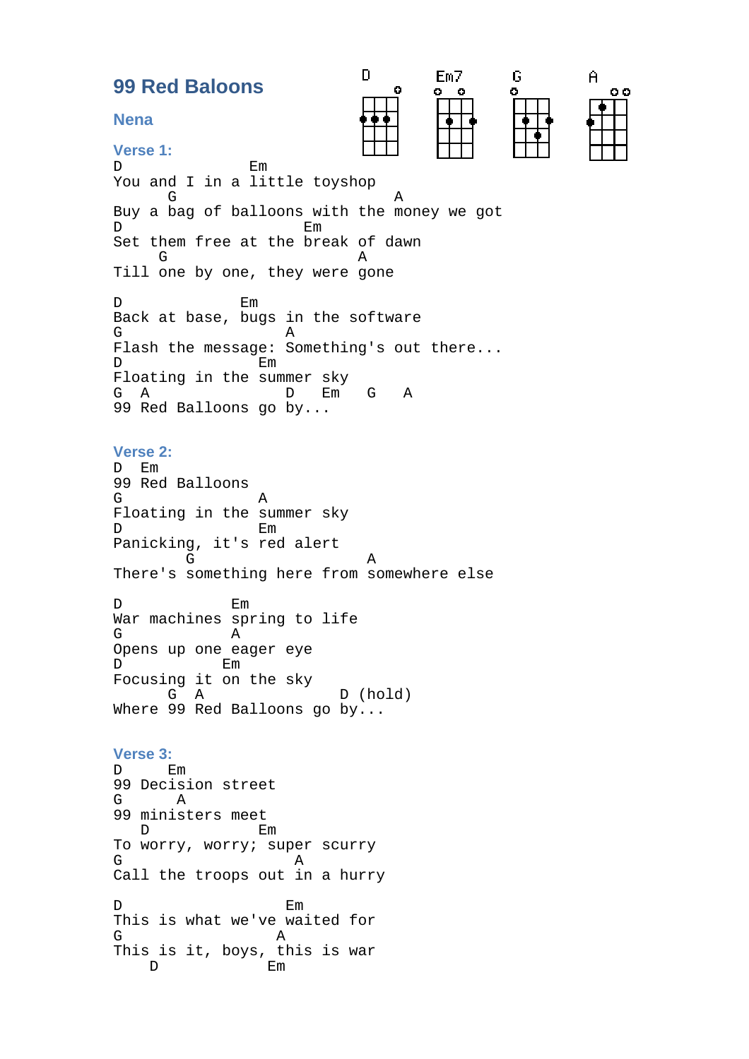